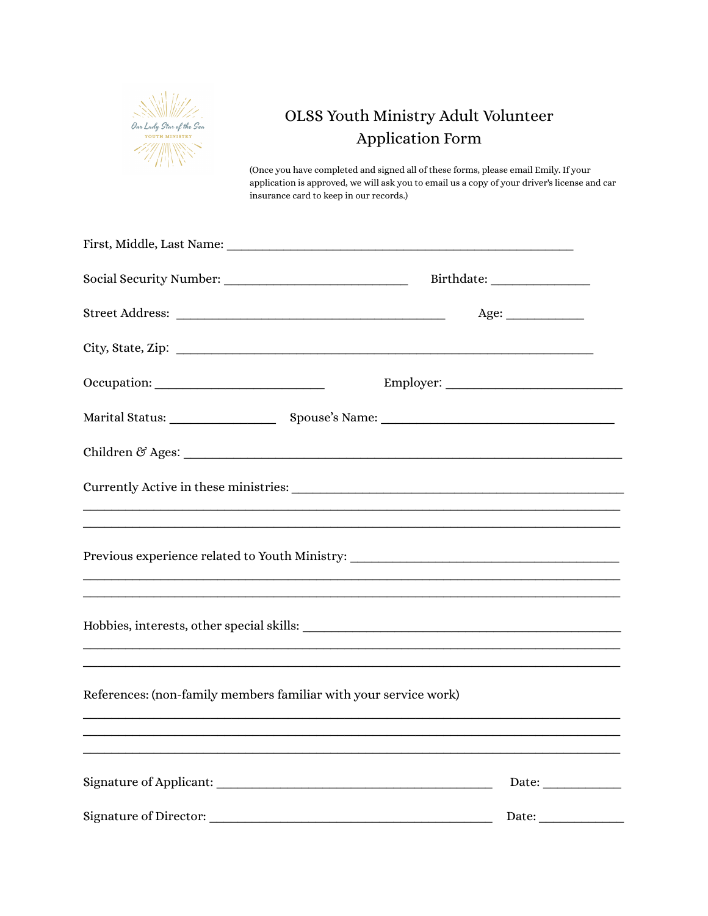

# OLSS Youth Ministry Adult Volunteer Application Form

(Once you have completed and signed all of these forms, please email Emily. If your application is approved, we will ask you to email us a copy of your driver's license and car insurance card to keep in our records.)

|                                                                  | Age:                                                                              |
|------------------------------------------------------------------|-----------------------------------------------------------------------------------|
|                                                                  | City, State, Zip:                                                                 |
|                                                                  | Employer:                                                                         |
|                                                                  |                                                                                   |
|                                                                  |                                                                                   |
|                                                                  |                                                                                   |
|                                                                  | ,我们也不能在这里的人,我们也不能在这里的人,我们也不能在这里的人,我们也不能在这里的人,我们也不能在这里的人,我们也不能在这里的人,我们也不能在这里的人,我们也 |
|                                                                  | Previous experience related to Youth Ministry: _________________________________  |
|                                                                  | ,我们也不能在这里的时候,我们也不能在这里的时候,我们也不能在这里的时候,我们也不能会在这里的时候,我们也不能会在这里的时候,我们也不能会在这里的时候,我们也不  |
|                                                                  |                                                                                   |
|                                                                  | ,我们也不能在这里的人,我们也不能在这里的人,我们也不能在这里的人,我们也不能在这里的人,我们也不能在这里的人,我们也不能在这里的人,我们也不能在这里的人,我们也 |
| References: (non-family members familiar with your service work) |                                                                                   |
|                                                                  |                                                                                   |
|                                                                  | Date:                                                                             |
|                                                                  | Date:                                                                             |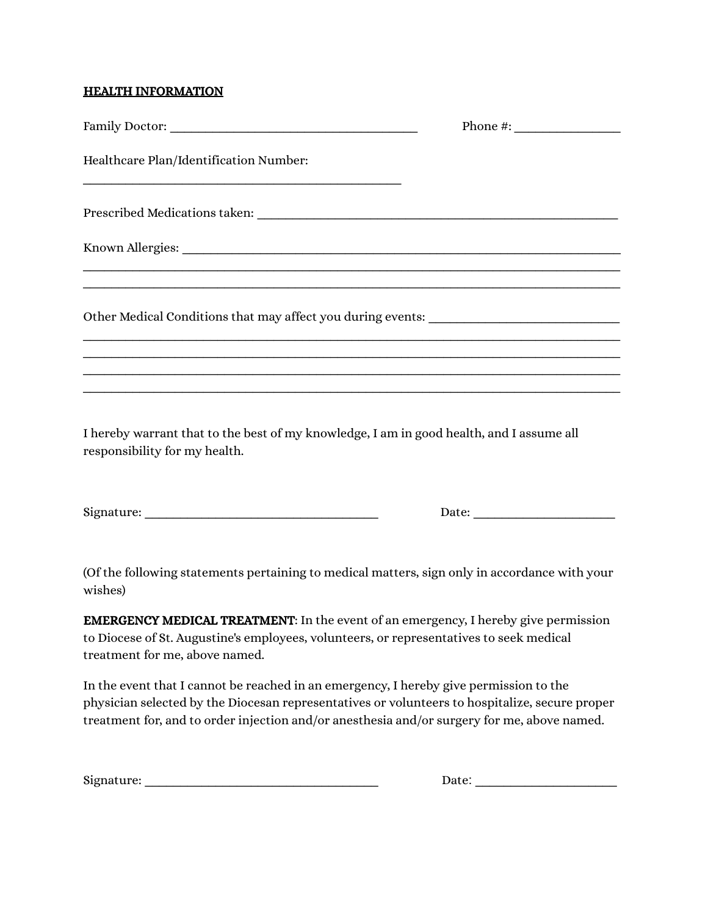#### HEALTH INFORMATION

|                                                                                   | Phone #: $\frac{1}{2}$ |
|-----------------------------------------------------------------------------------|------------------------|
| Healthcare Plan/Identification Number:                                            |                        |
|                                                                                   |                        |
|                                                                                   |                        |
|                                                                                   |                        |
| Other Medical Conditions that may affect you during events: _____________________ |                        |
|                                                                                   |                        |
|                                                                                   |                        |
|                                                                                   |                        |

I hereby warrant that to the best of my knowledge, I am in good health, and I assume all responsibility for my health.

| Signature: |  |
|------------|--|
|            |  |

Signature: \_\_\_\_\_\_\_\_\_\_\_\_\_\_\_\_\_\_\_\_\_\_\_\_\_\_\_\_\_\_\_\_\_ Date: \_\_\_\_\_\_\_\_\_\_\_\_\_\_\_\_\_\_\_\_

(Of the following statements pertaining to medical matters, sign only in accordance with your wishes)

EMERGENCY MEDICAL TREATMENT: In the event of an emergency, I hereby give permission to Diocese of St. Augustine's employees, volunteers, or representatives to seek medical treatment for me, above named.

In the event that I cannot be reached in an emergency, I hereby give permission to the physician selected by the Diocesan representatives or volunteers to hospitalize, secure proper treatment for, and to order injection and/or anesthesia and/or surgery for me, above named.

| Signature: |  |
|------------|--|
|            |  |

Signature: \_\_\_\_\_\_\_\_\_\_\_\_\_\_\_\_\_\_\_\_\_\_\_\_\_\_\_\_\_\_\_\_\_ Date: \_\_\_\_\_\_\_\_\_\_\_\_\_\_\_\_\_\_\_\_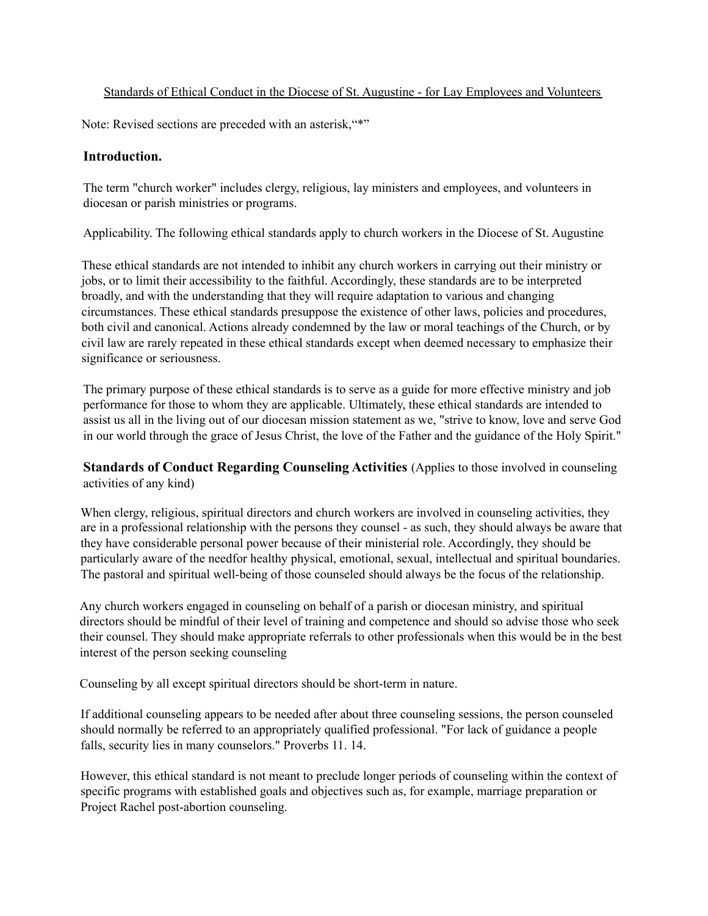#### Standards of Ethical Conduct in the Diocese of St. Augustine - for Lay Employees and Volunteers

Note: Revised sections are preceded with an asterisk, "\*"

#### **Introduction.**

The term "church worker" includes clergy, religious, lay ministers and employees, and volunteers in diocesan or parish ministries or programs.

Applicability. The following ethical standards apply to church workers in the Diocese of St. Augustine

These ethical standards are not intended to inhibit any church workers in carrying out their ministry or jobs, or to limit their accessibility to the faithful. Accordingly, these standards are to be interpreted broadly, and with the understanding that they will require adaptation to various and changing circumstances. These ethical standards presuppose the existence of other laws, policies and procedures, both civil and canonical. Actions already condemned by the law or moral teachings of the Church, or by civil law are rarely repeated in these ethical standards except when deemed necessary to emphasize their significance or seriousness.

The primary purpose of these ethical standards is to serve as a guide for more effective ministry and job performance for those to whom they are applicable. Ultimately, these ethical standards are intended to assist us all in the living out of our diocesan mission statement as we, "strive to know, love and serve God in our world through the grace of Jesus Christ, the love of the Father and the guidance of the Holy Spirit."

**Standards of Conduct Regarding Counseling Activities** (Applies to those involved in counseling activities of any kind)

When clergy, religious, spiritual directors and church workers are involved in counseling activities, they are in a professional relationship with the persons they counsel - as such, they should always be aware that they have considerable personal power because of their ministerial role. Accordingly, they should be particularly aware of the needfor healthy physical, emotional, sexual, intellectual and spiritual boundaries. The pastoral and spiritual well-being of those counseled should always be the focus of the relationship.

Any church workers engaged in counseling on behalf of a parish or diocesan ministry, and spiritual directors should be mindful of their level of training and competence and should so advise those who seek their counsel. They should make appropriate referrals to other professionals when this would be in the best interest of the person seeking counseling

Counseling by all except spiritual directors should be short-term in nature.

If additional counseling appears to be needed after about three counseling sessions, the person counseled should normally be referred to an appropriately qualified professional. "For lack of guidance a people falls, security lies in many counselors." Proverbs 11. 14.

However, this ethical standard is not meant to preclude longer periods of counseling within the context of specific programs with established goals and objectives such as, for example, marriage preparation or Project Rachel post-abortion counseling.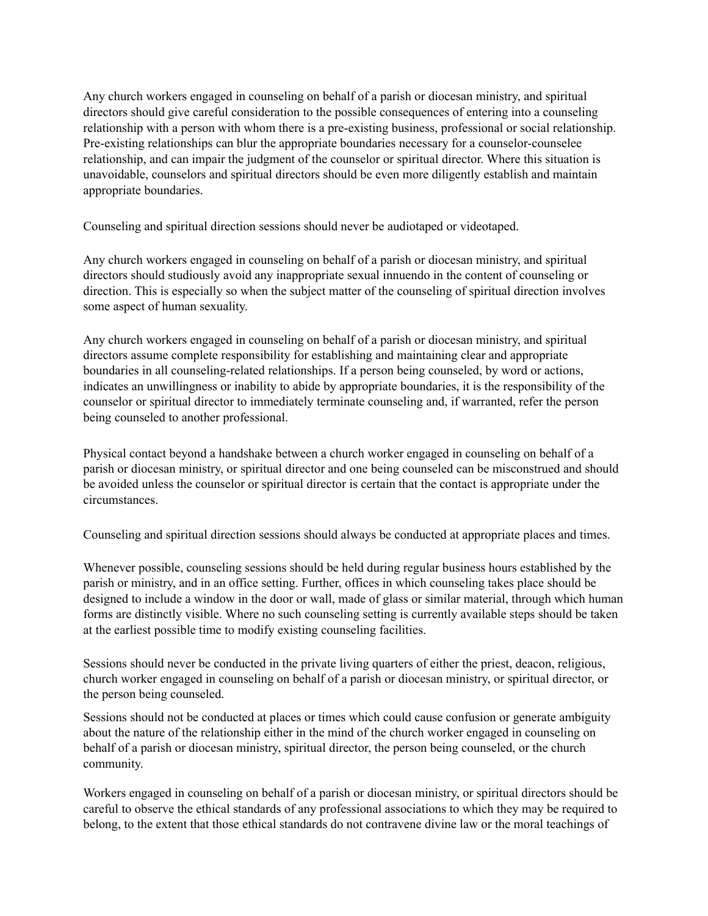Any church workers engaged in counseling on behalf of a parish or diocesan ministry, and spiritual directors should give careful consideration to the possible consequences of entering into a counseling relationship with a person with whom there is a pre-existing business, professional or social relationship. Pre-existing relationships can blur the appropriate boundaries necessary for a counselor-counselee relationship, and can impair the judgment of the counselor or spiritual director. Where this situation is unavoidable, counselors and spiritual directors should be even more diligently establish and maintain appropriate boundaries.

Counseling and spiritual direction sessions should never be audiotaped or videotaped.

Any church workers engaged in counseling on behalf of a parish or diocesan ministry, and spiritual directors should studiously avoid any inappropriate sexual innuendo in the content of counseling or direction. This is especially so when the subject matter of the counseling of spiritual direction involves some aspect of human sexuality.

Any church workers engaged in counseling on behalf of a parish or diocesan ministry, and spiritual directors assume complete responsibility for establishing and maintaining clear and appropriate boundaries in all counseling-related relationships. If a person being counseled, by word or actions, indicates an unwillingness or inability to abide by appropriate boundaries, it is the responsibility of the counselor or spiritual director to immediately terminate counseling and, if warranted, refer the person being counseled to another professional.

Physical contact beyond a handshake between a church worker engaged in counseling on behalf of a parish or diocesan ministry, or spiritual director and one being counseled can be misconstrued and should be avoided unless the counselor or spiritual director is certain that the contact is appropriate under the circumstances.

Counseling and spiritual direction sessions should always be conducted at appropriate places and times.

Whenever possible, counseling sessions should be held during regular business hours established by the parish or ministry, and in an office setting. Further, offices in which counseling takes place should be designed to include a window in the door or wall, made of glass or similar material, through which human forms are distinctly visible. Where no such counseling setting is currently available steps should be taken at the earliest possible time to modify existing counseling facilities.

Sessions should never be conducted in the private living quarters of either the priest, deacon, religious, church worker engaged in counseling on behalf of a parish or diocesan ministry, or spiritual director, or the person being counseled.

Sessions should not be conducted at places or times which could cause confusion or generate ambiguity about the nature of the relationship either in the mind of the church worker engaged in counseling on behalf of a parish or diocesan ministry, spiritual director, the person being counseled, or the church community.

Workers engaged in counseling on behalf of a parish or diocesan ministry, or spiritual directors should be careful to observe the ethical standards of any professional associations to which they may be required to belong, to the extent that those ethical standards do not contravene divine law or the moral teachings of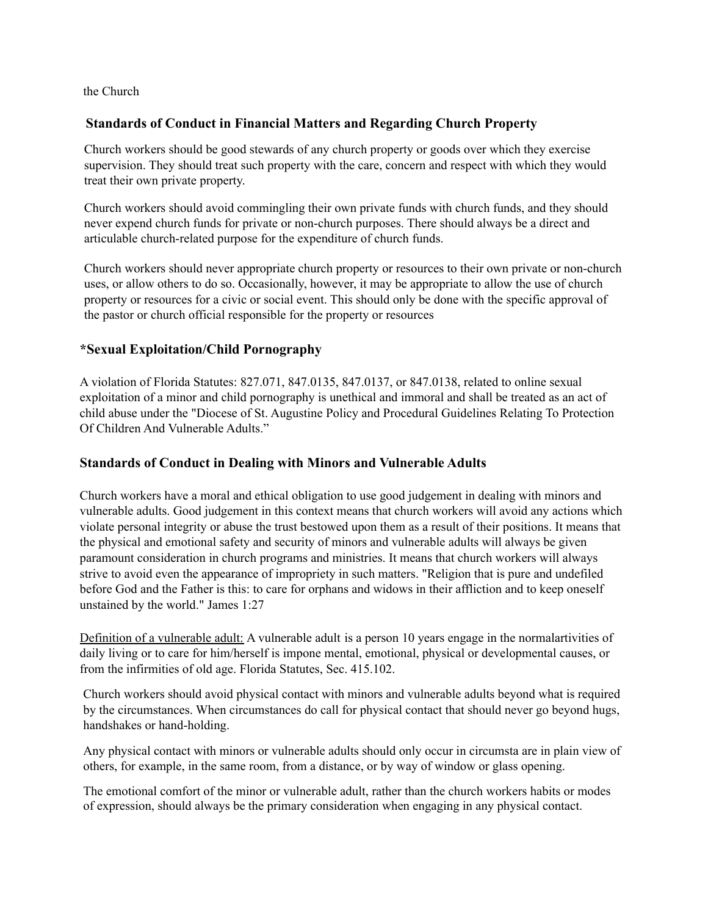the Church

### **Standards of Conduct in Financial Matters and Regarding Church Property**

Church workers should be good stewards of any church property or goods over which they exercise supervision. They should treat such property with the care, concern and respect with which they would treat their own private property.

Church workers should avoid commingling their own private funds with church funds, and they should never expend church funds for private or non-church purposes. There should always be a direct and articulable church-related purpose for the expenditure of church funds.

Church workers should never appropriate church property or resources to their own private or non-church uses, or allow others to do so. Occasionally, however, it may be appropriate to allow the use of church property or resources for a civic or social event. This should only be done with the specific approval of the pastor or church official responsible for the property or resources

### **\*Sexual Exploitation/Child Pornography**

A violation of Florida Statutes: 827.071, 847.0135, 847.0137, or 847.0138, related to online sexual exploitation of a minor and child pornography is unethical and immoral and shall be treated as an act of child abuse under the "Diocese of St. Augustine Policy and Procedural Guidelines Relating To Protection Of Children And Vulnerable Adults."

## **Standards of Conduct in Dealing with Minors and Vulnerable Adults**

Church workers have a moral and ethical obligation to use good judgement in dealing with minors and vulnerable adults. Good judgement in this context means that church workers will avoid any actions which violate personal integrity or abuse the trust bestowed upon them as a result of their positions. It means that the physical and emotional safety and security of minors and vulnerable adults will always be given paramount consideration in church programs and ministries. It means that church workers will always strive to avoid even the appearance of impropriety in such matters. "Religion that is pure and undefiled before God and the Father is this: to care for orphans and widows in their affliction and to keep oneself unstained by the world." James 1:27

Definition of a vulnerable adult: A vulnerable adult is a person 10 years engage in the normalartivities of daily living or to care for him/herself is impone mental, emotional, physical or developmental causes, or from the infirmities of old age. Florida Statutes, Sec. 415.102.

Church workers should avoid physical contact with minors and vulnerable adults beyond what is required by the circumstances. When circumstances do call for physical contact that should never go beyond hugs, handshakes or hand-holding.

Any physical contact with minors or vulnerable adults should only occur in circumsta are in plain view of others, for example, in the same room, from a distance, or by way of window or glass opening.

The emotional comfort of the minor or vulnerable adult, rather than the church workers habits or modes of expression, should always be the primary consideration when engaging in any physical contact.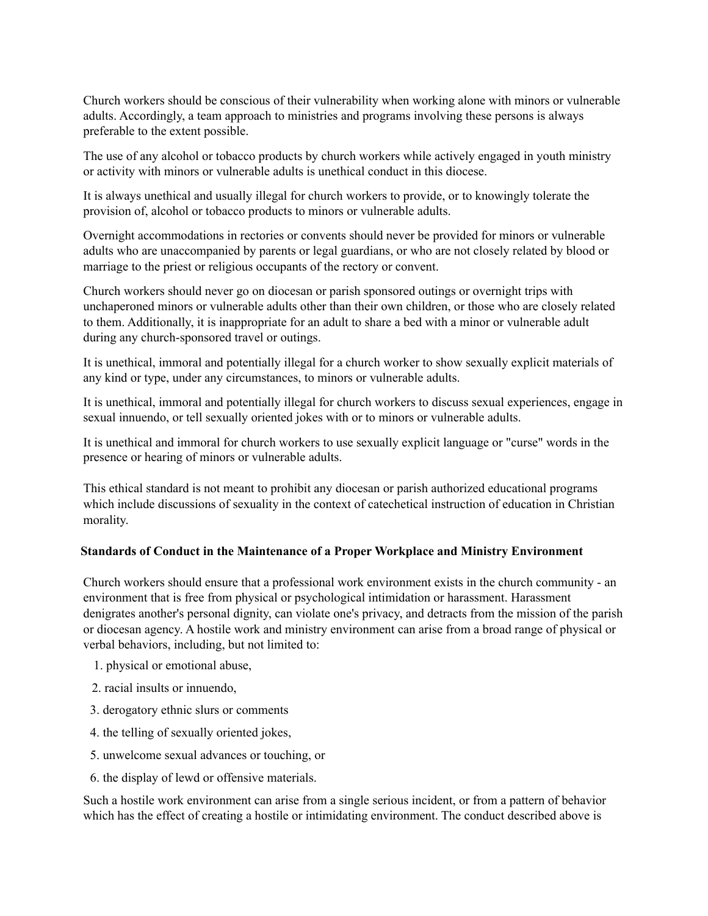Church workers should be conscious of their vulnerability when working alone with minors or vulnerable adults. Accordingly, a team approach to ministries and programs involving these persons is always preferable to the extent possible.

The use of any alcohol or tobacco products by church workers while actively engaged in youth ministry or activity with minors or vulnerable adults is unethical conduct in this diocese.

It is always unethical and usually illegal for church workers to provide, or to knowingly tolerate the provision of, alcohol or tobacco products to minors or vulnerable adults.

Overnight accommodations in rectories or convents should never be provided for minors or vulnerable adults who are unaccompanied by parents or legal guardians, or who are not closely related by blood or marriage to the priest or religious occupants of the rectory or convent.

Church workers should never go on diocesan or parish sponsored outings or overnight trips with unchaperoned minors or vulnerable adults other than their own children, or those who are closely related to them. Additionally, it is inappropriate for an adult to share a bed with a minor or vulnerable adult during any church-sponsored travel or outings.

It is unethical, immoral and potentially illegal for a church worker to show sexually explicit materials of any kind or type, under any circumstances, to minors or vulnerable adults.

It is unethical, immoral and potentially illegal for church workers to discuss sexual experiences, engage in sexual innuendo, or tell sexually oriented jokes with or to minors or vulnerable adults.

It is unethical and immoral for church workers to use sexually explicit language or "curse" words in the presence or hearing of minors or vulnerable adults.

This ethical standard is not meant to prohibit any diocesan or parish authorized educational programs which include discussions of sexuality in the context of catechetical instruction of education in Christian morality.

#### **Standards of Conduct in the Maintenance of a Proper Workplace and Ministry Environment**

Church workers should ensure that a professional work environment exists in the church community - an environment that is free from physical or psychological intimidation or harassment. Harassment denigrates another's personal dignity, can violate one's privacy, and detracts from the mission of the parish or diocesan agency. A hostile work and ministry environment can arise from a broad range of physical or verbal behaviors, including, but not limited to:

- 1. physical or emotional abuse,
- 2. racial insults or innuendo,
- 3. derogatory ethnic slurs or comments
- 4. the telling of sexually oriented jokes,
- 5. unwelcome sexual advances or touching, or
- 6. the display of lewd or offensive materials.

Such a hostile work environment can arise from a single serious incident, or from a pattern of behavior which has the effect of creating a hostile or intimidating environment. The conduct described above is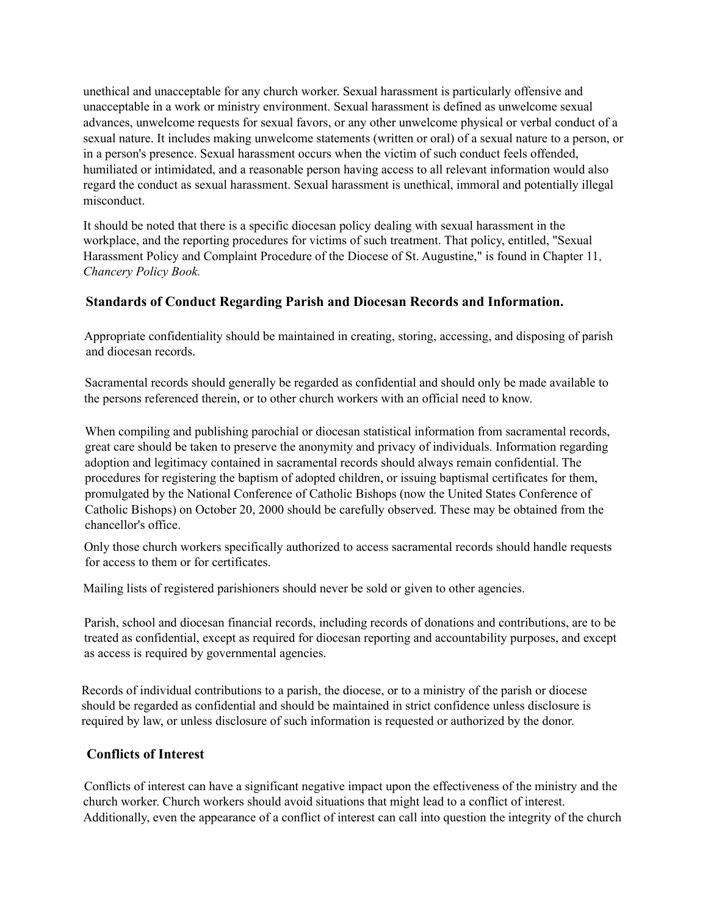unethical and unacceptable for any church worker. Sexual harassment is particularly offensive and unacceptable in a work or ministry environment. Sexual harassment is defined as unwelcome sexual advances, unwelcome requests for sexual favors, or any other unwelcome physical or verbal conduct of a sexual nature. It includes making unwelcome statements (written or oral) of a sexual nature to a person, or in a person's presence. Sexual harassment occurs when the victim of such conduct feels offended, humiliated or intimidated, and a reasonable person having access to all relevant information would also regard the conduct as sexual harassment. Sexual harassment is unethical, immoral and potentially illegal misconduct.

It should be noted that there is a specific diocesan policy dealing with sexual harassment in the workplace, and the reporting procedures for victims of such treatment. That policy, entitled, "Sexual Harassment Policy and Complaint Procedure of the Diocese of St. Augustine," is found in Chapter 11*, Chancery Policy Book.*

## **Standards of Conduct Regarding Parish and Diocesan Records and Information.**

Appropriate confidentiality should be maintained in creating, storing, accessing, and disposing of parish and diocesan records.

Sacramental records should generally be regarded as confidential and should only be made available to the persons referenced therein, or to other church workers with an official need to know.

When compiling and publishing parochial or diocesan statistical information from sacramental records, great care should be taken to preserve the anonymity and privacy of individuals. Information regarding adoption and legitimacy contained in sacramental records should always remain confidential. The procedures for registering the baptism of adopted children, or issuing baptismal certificates for them, promulgated by the National Conference of Catholic Bishops (now the United States Conference of Catholic Bishops) on October 20, 2000 should be carefully observed. These may be obtained from the chancellor's office.

Only those church workers specifically authorized to access sacramental records should handle requests for access to them or for certificates.

Mailing lists of registered parishioners should never be sold or given to other agencies.

Parish, school and diocesan financial records, including records of donations and contributions, are to be treated as confidential, except as required for diocesan reporting and accountability purposes, and except as access is required by governmental agencies.

Records of individual contributions to a parish, the diocese, or to a ministry of the parish or diocese should be regarded as confidential and should be maintained in strict confidence unless disclosure is required by law, or unless disclosure of such information is requested or authorized by the donor.

#### **Conflicts of Interest**

Conflicts of interest can have a significant negative impact upon the effectiveness of the ministry and the church worker. Church workers should avoid situations that might lead to a conflict of interest. Additionally, even the appearance of a conflict of interest can call into question the integrity of the church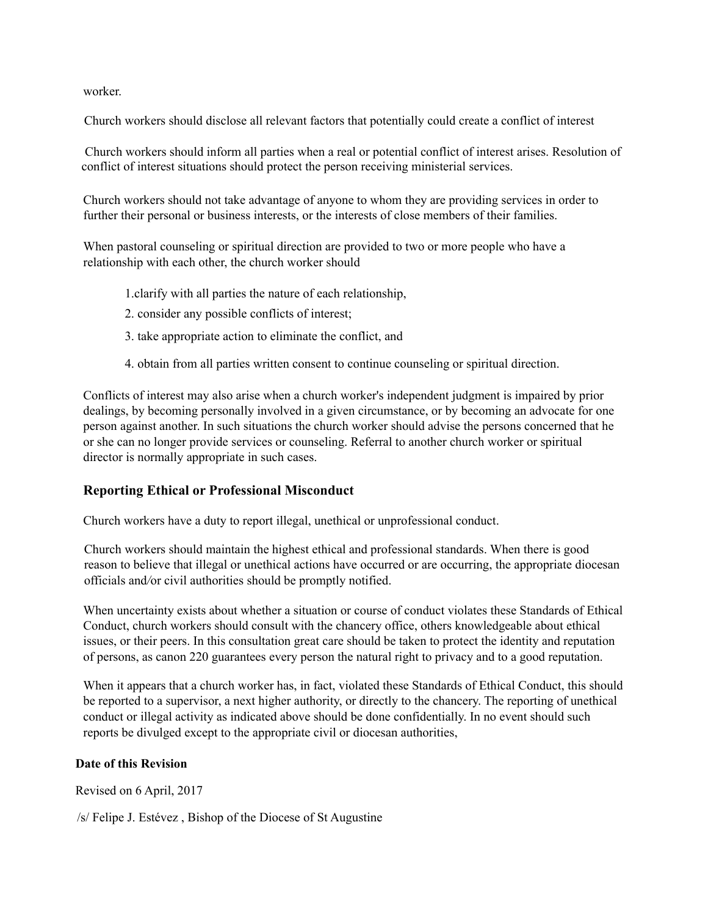worker.

Church workers should disclose all relevant factors that potentially could create a conflict of interest

Church workers should inform all parties when a real or potential conflict of interest arises. Resolution of conflict of interest situations should protect the person receiving ministerial services.

Church workers should not take advantage of anyone to whom they are providing services in order to further their personal or business interests, or the interests of close members of their families.

When pastoral counseling or spiritual direction are provided to two or more people who have a relationship with each other, the church worker should

- 1.clarify with all parties the nature of each relationship,
- 2. consider any possible conflicts of interest;
- 3. take appropriate action to eliminate the conflict, and
- 4. obtain from all parties written consent to continue counseling or spiritual direction.

Conflicts of interest may also arise when a church worker's independent judgment is impaired by prior dealings, by becoming personally involved in a given circumstance, or by becoming an advocate for one person against another. In such situations the church worker should advise the persons concerned that he or she can no longer provide services or counseling. Referral to another church worker or spiritual director is normally appropriate in such cases.

#### **Reporting Ethical or Professional Misconduct**

Church workers have a duty to report illegal, unethical or unprofessional conduct.

Church workers should maintain the highest ethical and professional standards. When there is good reason to believe that illegal or unethical actions have occurred or are occurring, the appropriate diocesan officials and*/*or civil authorities should be promptly notified.

When uncertainty exists about whether a situation or course of conduct violates these Standards of Ethical Conduct, church workers should consult with the chancery office, others knowledgeable about ethical issues, or their peers. In this consultation great care should be taken to protect the identity and reputation of persons, as canon 220 guarantees every person the natural right to privacy and to a good reputation.

When it appears that a church worker has, in fact, violated these Standards of Ethical Conduct, this should be reported to a supervisor, a next higher authority, or directly to the chancery. The reporting of unethical conduct or illegal activity as indicated above should be done confidentially. In no event should such reports be divulged except to the appropriate civil or diocesan authorities,

#### **Date of this Revision**

Revised on 6 April, 2017

/s/ Felipe J. Estévez , Bishop of the Diocese of St Augustine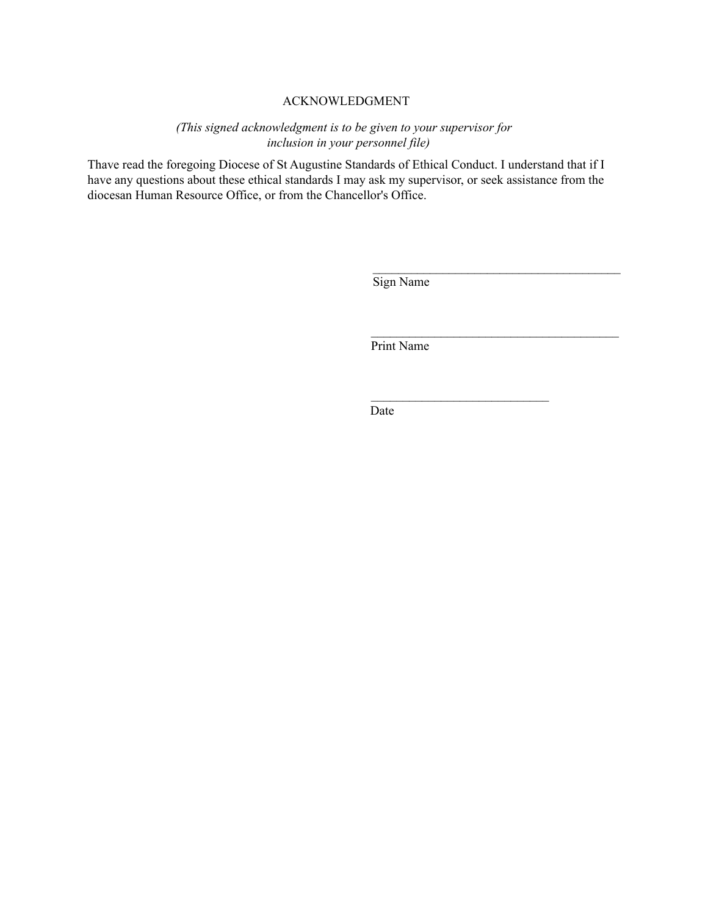#### ACKNOWLEDGMENT

*(This signed acknowledgment is to be given to your supervisor for inclusion in your personnel file)*

Thave read the foregoing Diocese of St Augustine Standards of Ethical Conduct. I understand that if I have any questions about these ethical standards I may ask my supervisor, or seek assistance from the diocesan Human Resource Office, or from the Chancellor's Office.

Sign Name

 $\mathcal{L}_\text{max}$ 

 $\mathcal{L}_\text{max}$ 

 $\mathcal{L}_\text{max}$ 

Print Name

Date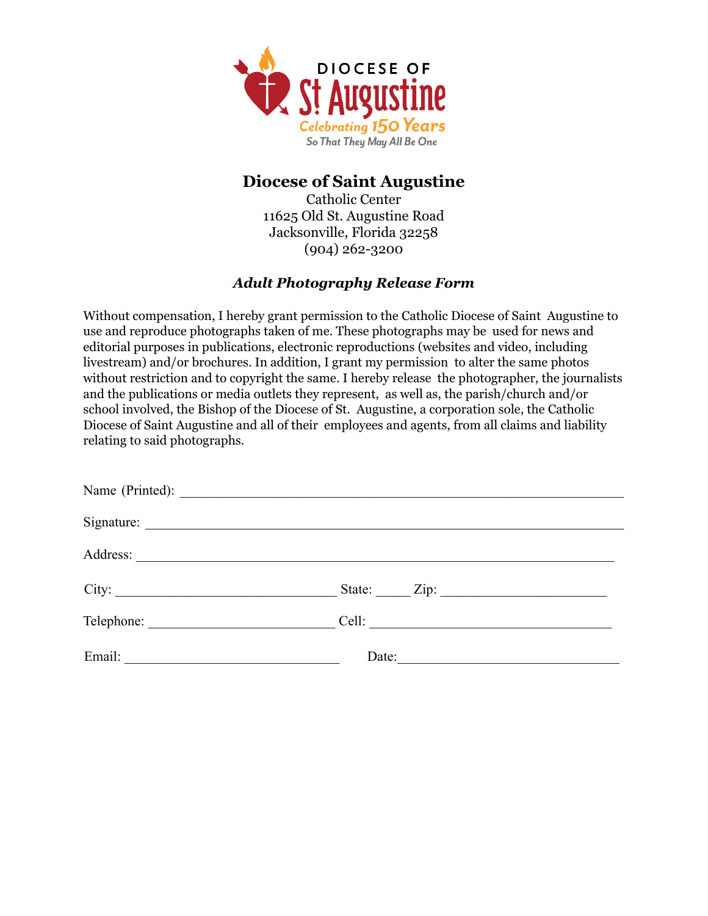

## **Diocese of Saint Augustine**

Catholic Center 11625 Old St. Augustine Road Jacksonville, Florida 32258 (904) 262-3200

## *Adult Photography Release Form*

Without compensation, I hereby grant permission to the Catholic Diocese of Saint Augustine to use and reproduce photographs taken of me. These photographs may be used for news and editorial purposes in publications, electronic reproductions (websites and video, including livestream) and/or brochures. In addition, I grant my permission to alter the same photos without restriction and to copyright the same. I hereby release the photographer, the journalists and the publications or media outlets they represent, as well as, the parish/church and/or school involved, the Bishop of the Diocese of St. Augustine, a corporation sole, the Catholic Diocese of Saint Augustine and all of their employees and agents, from all claims and liability relating to said photographs.

| Date: |
|-------|